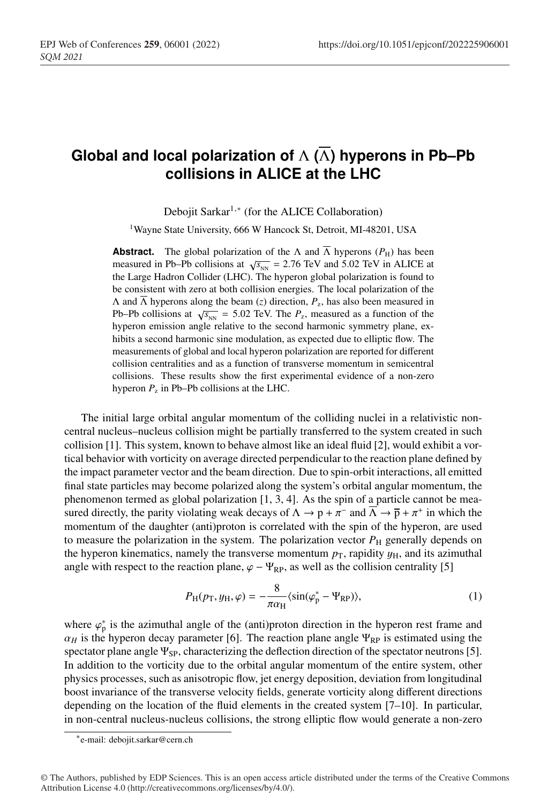## **Global and local polarization of** Λ **(**Λ**) hyperons in Pb–Pb collisions in ALICE at the LHC**

Debojit Sarkar<sup>1,∗</sup> (for the ALICE Collaboration)

<sup>1</sup>Wayne State University, 666 W Hancock St, Detroit, MI-48201, USA

**Abstract.** The global polarization of the  $\Lambda$  and  $\overline{\Lambda}$  hyperons ( $P_{\rm H}$ ) has been measured in Pb–Pb collisions at  $\sqrt{s_{NN}}$  = 2.76 TeV and 5.02 TeV in ALICE at the Large Hadron Collider (LHC). The hyperon global polarization is found to be consistent with zero at both collision energies. The local polarization of the Λ and Λ hyperons along the beam (*z*) direction, *P*z, has also been measured in Pb–Pb collisions at  $\sqrt{s_{NN}}$  = 5.02 TeV. The  $P_z$ , measured as a function of the hyperon emission angle relative to the second harmonic symmetry plane, exhibits a second harmonic sine modulation, as expected due to elliptic flow. The measurements of global and local hyperon polarization are reported for different collision centralities and as a function of transverse momentum in semicentral collisions. These results show the first experimental evidence of a non-zero hyperon  $P_z$  in Pb–Pb collisions at the LHC.

The initial large orbital angular momentum of the colliding nuclei in a relativistic noncentral nucleus–nucleus collision might be partially transferred to the system created in such collision [1]. This system, known to behave almost like an ideal fluid [2], would exhibit a vortical behavior with vorticity on average directed perpendicular to the reaction plane defined by the impact parameter vector and the beam direction. Due to spin-orbit interactions, all emitted final state particles may become polarized along the system's orbital angular momentum, the phenomenon termed as global polarization  $[1, 3, 4]$ . As the spin of a particle cannot be measured directly, the parity violating weak decays of  $\Lambda \to p + \pi^-$  and  $\overline{\Lambda} \to \overline{p} + \pi^+$  in which the momentum of the daughter (anti)proton is correlated with the spin of the hyperon, are used to measure the polarization in the system. The polarization vector  $P<sub>H</sub>$  generally depends on the hyperon kinematics, namely the transverse momentum  $p_T$ , rapidity  $y_H$ , and its azimuthal angle with respect to the reaction plane,  $\varphi - \Psi_{\rm RP}$ , as well as the collision centrality [5]

$$
P_{\rm H}(p_{\rm T}, y_{\rm H}, \varphi) = -\frac{8}{\pi \alpha_{\rm H}} \langle \sin(\varphi_{\rm p}^* - \Psi_{\rm RP}) \rangle, \tag{1}
$$

where  $\varphi_p^*$  is the azimuthal angle of the (anti)proton direction in the hyperon rest frame and  $\alpha_H$  is the hyperon decay parameter [6]. The reaction plane angle Ψ<sub>RP</sub> is estimated using the spectator plane angle  $\Psi_{SP}$ , characterizing the deflection direction of the spectator neutrons [5]. In addition to the vorticity due to the orbital angular momentum of the entire system, other physics processes, such as anisotropic flow, jet energy deposition, deviation from longitudinal boost invariance of the transverse velocity fields, generate vorticity along different directions depending on the location of the fluid elements in the created system [7–10]. In particular, in non-central nucleus-nucleus collisions, the strong elliptic flow would generate a non-zero

<sup>∗</sup>e-mail: debojit.sarkar@cern.ch

<sup>©</sup> The Authors, published by EDP Sciences. This is an open access article distributed under the terms of the Creative Commons Attribution License 4.0 (http://creativecommons.org/licenses/by/4.0/).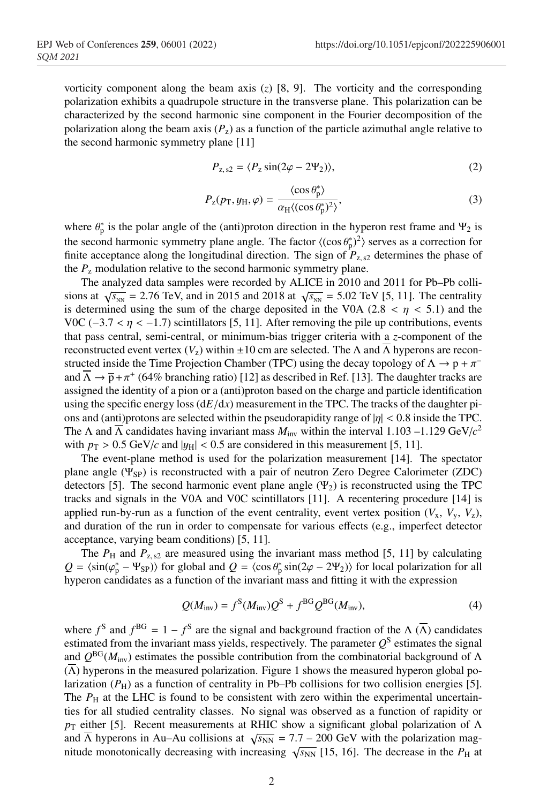vorticity component along the beam axis (*z*) [8, 9]. The vorticity and the corresponding polarization exhibits a quadrupole structure in the transverse plane. This polarization can be characterized by the second harmonic sine component in the Fourier decomposition of the polarization along the beam axis  $(P_z)$  as a function of the particle azimuthal angle relative to the second harmonic symmetry plane [11]

$$
P_{z,s2} = \langle P_z \sin(2\varphi - 2\Psi_2) \rangle, \tag{2}
$$

$$
P_{z}(p_{\rm T}, y_{\rm H}, \varphi) = \frac{\langle \cos \theta_{\rm p}^{*} \rangle}{\alpha_{\rm H} \langle (\cos \theta_{\rm p}^{*})^{2} \rangle},
$$
\n(3)

where  $\theta_p^*$  is the polar angle of the (anti)proton direction in the hyperon rest frame and  $\Psi_2$  is the second harmonic symmetry plane angle. The factor  $\langle (\cos \theta_p^*)^2 \rangle$  serves as a correction for finite acceptance along the longitudinal direction. The sign of  $P_{z,s2}$  determines the phase of the  $P_{\rm z}$  modulation relative to the second harmonic symmetry plane.

The analyzed data samples were recorded by ALICE in 2010 and 2011 for Pb–Pb collisions at  $\sqrt{s_{_{NN}}}$  = 2.76 TeV, and in 2015 and 2018 at  $\sqrt{s_{_{NN}}}$  = 5.02 TeV [5, 11]. The centrality is determined using the sum of the charge deposited in the V0A (2.8  $\lt \eta \lt 5.1$ ) and the V0C ( $-3.7 < \eta < -1.7$ ) scintillators [5, 11]. After removing the pile up contributions, events that pass central, semi-central, or minimum-bias trigger criteria with a *z*-component of the reconstructed event vertex  $(V_z)$  within  $\pm 10$  cm are selected. The  $\Lambda$  and  $\Lambda$  hyperons are reconstructed inside the Time Projection Chamber (TPC) using the decay topology of  $\Lambda \to p + \pi^$ and  $\Lambda \to \bar{p} + \pi^+$  (64% branching ratio) [12] as described in Ref. [13]. The daughter tracks are assigned the identity of a pion or a (anti)proton based on the charge and particle identification using the specific energy loss  $(dE/dx)$  measurement in the TPC. The tracks of the daughter pions and (anti)protons are selected within the pseudorapidity range of  $|\eta| < 0.8$  inside the TPC. The  $\Lambda$  and  $\Lambda$  candidates having invariant mass  $M_{\text{inv}}$  within the interval 1.103 –1.129 GeV/ $c^2$ with  $p_T > 0.5$  GeV/*c* and  $|y_H| < 0.5$  are considered in this measurement [5, 11].

The event-plane method is used for the polarization measurement [14]. The spectator plane angle  $(\Psi_{SP})$  is reconstructed with a pair of neutron Zero Degree Calorimeter (ZDC) detectors [5]. The second harmonic event plane angle  $(\Psi_2)$  is reconstructed using the TPC tracks and signals in the V0A and V0C scintillators [11]. A recentering procedure [14] is applied run-by-run as a function of the event centrality, event vertex position  $(V_x, V_y, V_z)$ , and duration of the run in order to compensate for various effects (e.g., imperfect detector acceptance, varying beam conditions) [5, 11].

The  $P_H$  and  $P_{z, s2}$  are measured using the invariant mass method [5, 11] by calculating  $Q = \langle \sin(\varphi_p^* - \Psi_{SP}) \rangle$  for global and  $Q = \langle \cos \theta_p^* \sin(2\varphi - 2\Psi_2) \rangle$  for local polarization for all hyperon candidates as a function of the invariant mass and fitting it with the expression

$$
Q(Minv) = fS(Minv)QS + fBGQBG(Minv),
$$
\n(4)

where  $f^S$  and  $f^{BG} = 1 - f^S$  are the signal and background fraction of the  $\Lambda(\overline{\Lambda})$  candidates estimated from the invariant mass yields, respectively. The parameter  $Q<sup>S</sup>$  estimates the signal and  $Q^{BG}(M_{\text{inv}})$  estimates the possible contribution from the combinatorial background of  $\Lambda$  $(\Lambda)$  hyperons in the measured polarization. Figure 1 shows the measured hyperon global polarization  $(P_H)$  as a function of centrality in Pb–Pb collisions for two collision energies [5]. The  $P<sub>H</sub>$  at the LHC is found to be consistent with zero within the experimental uncertainties for all studied centrality classes. No signal was observed as a function of rapidity or  $p<sub>T</sub>$  either [5]. Recent measurements at RHIC show a significant global polarization of  $\Lambda$ and  $\overline{\Lambda}$  hyperons in Au–Au collisions at  $\sqrt{s_{NN}} = 7.7 - 200 \text{ GeV}$  with the polarization magnitude monotonically decreasing with increasing  $\sqrt{s_{NN}}$  [15, 16]. The decrease in the  $P_H$  at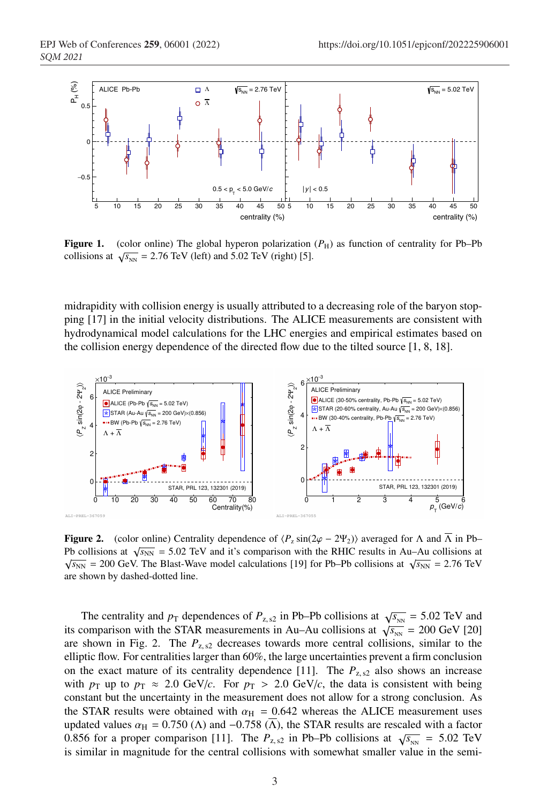

**Figure 1.** (color online) The global hyperon polarization  $(P_H)$  as function of centrality for Pb–Pb collisions at  $\sqrt{s_{NN}}$  = 2.76 TeV (left) and 5.02 TeV (right) [5].

midrapidity with collision energy is usually attributed to a decreasing role of the baryon stopping [17] in the initial velocity distributions. The ALICE measurements are consistent with hydrodynamical model calculations for the LHC energies and empirical estimates based on the collision energy dependence of the directed flow due to the tilted source [1, 8, 18].



**Figure 2.** (color online) Centrality dependence of  $\langle P_z \sin(2\varphi - 2\Psi_2) \rangle$  averaged for  $\Lambda$  and  $\overline{\Lambda}$  in Pb– Pb collisions at  $\sqrt{s_{NN}}$  = 5.02 TeV and it's comparison with the RHIC results in Au–Au collisions at  $\sqrt{s_{NN}}$  = 200 GeV. The Blast-Wave model calculations [19] for Pb–Pb collisions at  $\sqrt{s_{NN}}$  = 2.76 TeV are shown by dashed-dotted line.

The centrality and  $p_T$  dependences of  $P_{z, s2}$  in Pb–Pb collisions at  $\sqrt{s_{_{NN}}}$  = 5.02 TeV and its comparison with the STAR measurements in Au–Au collisions at  $\sqrt{s_{_{NN}}}$  = 200 GeV [20] are shown in Fig. 2. The  $P_{\text{z,s2}}$  decreases towards more central collisions, similar to the elliptic flow. For centralities larger than 60%, the large uncertainties prevent a firm conclusion on the exact mature of its centrality dependence [11]. The  $P_{z,s2}$  also shows an increase with  $p_T$  up to  $p_T \approx 2.0 \text{ GeV}/c$ . For  $p_T > 2.0 \text{ GeV}/c$ , the data is consistent with being constant but the uncertainty in the measurement does not allow for a strong conclusion. As the STAR results were obtained with  $\alpha_{\text{H}} = 0.642$  whereas the ALICE measurement uses updated values  $\alpha_H = 0.750$  ( $\Lambda$ ) and  $-0.758$  ( $\Lambda$ ), the STAR results are rescaled with a factor 0.856 for a proper comparison [11]. The  $P_{z, s2}$  in Pb–Pb collisions at  $\sqrt{s_{NN}} = 5.02$  TeV is similar in magnitude for the central collisions with somewhat smaller value in the semi